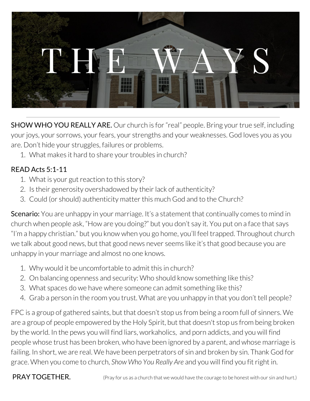

**SHOW WHO YOU REALLY ARE.** Our church is for "real" people. Bring your true self, including your joys, your sorrows, your fears, your strengths and your weaknesses. God loves you as you are. Don't hide your struggles, failures or problems.

1. What makes it hard to share your troubles in church?

## READ Acts 5:1-11

- 1. What is your gut reaction to this story?
- 2. Is their generosity overshadowed by their lack of authenticity?
- 3. Could (or should) authenticity matter this much God and to the Church?

**Scenario:** You are unhappy in your marriage. It's a statement that continually comes to mind in church when people ask, "How are you doing?" but you don't say it. You put on a face that says "I'm a happy christian." but you know when you go home, you'll feel trapped. Throughout church we talk about good news, but that good news never seems like it's that good because you are unhappy in your marriage and almost no one knows.

- 1. Why would it be uncomfortable to admit this in church?
- 2. On balancing openness and security: Who should know something like this?
- 3. What spaces do we have where someone can admit something like this?
- 4. Grab a person in the room you trust. What are you unhappy in that you don't tell people?

FPC is a group of gathered saints, but that doesn't stop us from being a room full of sinners. We are a group of people empowered by the Holy Spirit, but that doesn't stop us from being broken by the world. In the pews you will find liars, workaholics, and porn addicts, and you will find people whose trust has been broken, who have been ignored by a parent, and whose marriage is failing. In short, we are real. We have been perpetrators of sin and broken by sin. Thank God for grace. When you come to church, *Show Who You Really Are* and you will find you fitright in.